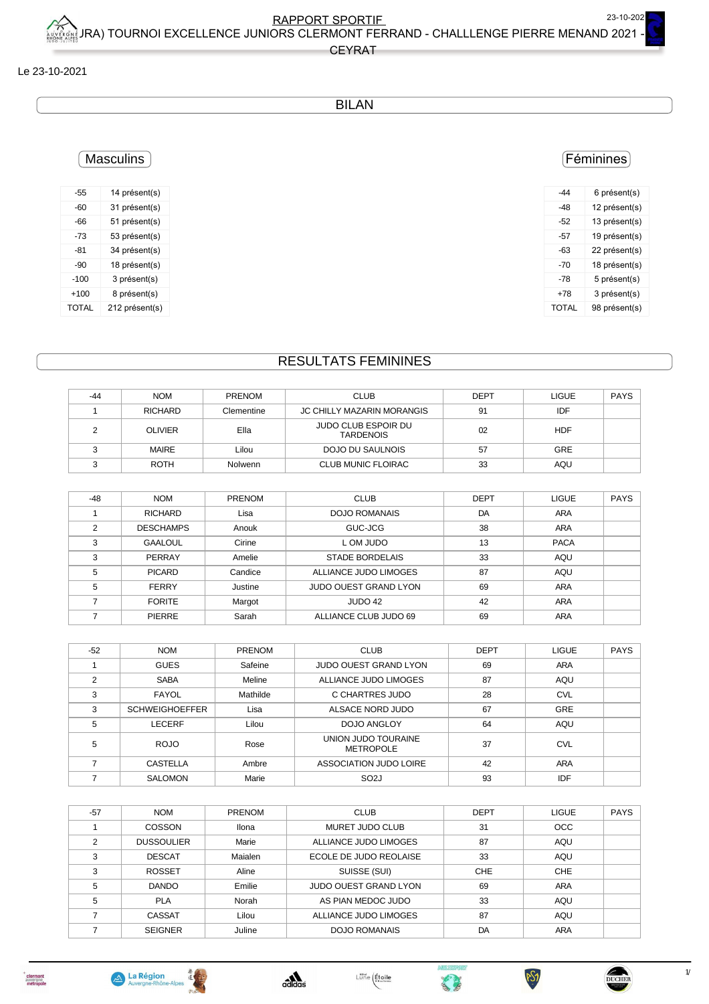CEYRAT

#### Le 23-10-2021

### BILAN

## **Masculins**

| -55          | 14 présent(s)  |
|--------------|----------------|
| -60          | 31 présent(s)  |
| -66          | 51 présent(s)  |
| -73          | 53 présent(s)  |
| $-81$        | 34 présent(s)  |
| $-90$        | 18 présent(s)  |
| $-100$       | 3 présent(s)   |
| $+100$       | 8 présent(s)   |
| <b>TOTAL</b> | 212 présent(s) |

## Féminines

| -44   | 6 présent(s)  |
|-------|---------------|
| -48   | 12 présent(s) |
| -52   | 13 présent(s) |
| -57   | 19 présent(s) |
| -63   | 22 présent(s) |
| $-70$ | 18 présent(s) |
| -78   | 5 présent(s)  |
| $+78$ | 3 présent(s)  |
| TOTAL | 98 présent(s) |
|       |               |

# RESULTATS FEMININES

| $-44$ | <b>NOM</b>     | <b>PRENOM</b> | <b>CLUB</b>                             | <b>DEPT</b> | <b>LIGUE</b> | <b>PAYS</b> |
|-------|----------------|---------------|-----------------------------------------|-------------|--------------|-------------|
|       | <b>RICHARD</b> | Clementine    | <b>JC CHILLY MAZARIN MORANGIS</b>       | 91          | IDF          |             |
|       | <b>OLIVIER</b> | Ella          | JUDO CLUB ESPOIR DU<br><b>TARDENOIS</b> | 02          | <b>HDF</b>   |             |
|       | MAIRE          | Lilou         | DOJO DU SAULNOIS                        | 57          | <b>GRE</b>   |             |
|       | <b>ROTH</b>    | Nolwenn       | <b>CLUB MUNIC FLOIRAC</b>               | 33          | AQU          |             |

| $-48$ | <b>NOM</b>       | <b>PRENOM</b> | <b>CLUB</b>                  | <b>DEPT</b> | <b>LIGUE</b> | <b>PAYS</b> |
|-------|------------------|---------------|------------------------------|-------------|--------------|-------------|
|       | <b>RICHARD</b>   | Lisa          | DOJO ROMANAIS                | DA          | <b>ARA</b>   |             |
| C     | <b>DESCHAMPS</b> | Anouk         | GUC-JCG                      | 38          | <b>ARA</b>   |             |
| 3     | <b>GAALOUL</b>   | Cirine        | L OM JUDO                    | 13          | <b>PACA</b>  |             |
| 3     | PERRAY           | Amelie        | <b>STADE BORDELAIS</b>       | 33          | AQU          |             |
| 5     | <b>PICARD</b>    | Candice       | ALLIANCE JUDO LIMOGES        | 87          | AQU          |             |
| 5     | <b>FERRY</b>     | Justine       | <b>JUDO OUEST GRAND LYON</b> | 69          | <b>ARA</b>   |             |
|       | <b>FORITE</b>    | Margot        | JUDO 42                      | 42          | <b>ARA</b>   |             |
|       | <b>PIERRE</b>    | Sarah         | ALLIANCE CLUB JUDO 69        | 69          | <b>ARA</b>   |             |

| $-52$          | <b>NOM</b>            | <b>PRENOM</b> | <b>CLUB</b>                             | <b>DEPT</b> | <b>LIGUE</b> | <b>PAYS</b> |
|----------------|-----------------------|---------------|-----------------------------------------|-------------|--------------|-------------|
|                | <b>GUES</b>           | Safeine       | <b>JUDO OUEST GRAND LYON</b>            | 69          | <b>ARA</b>   |             |
| $\overline{2}$ | <b>SABA</b>           | Meline        | ALLIANCE JUDO LIMOGES                   | 87          | AQU          |             |
| 3              | FAYOL                 | Mathilde      | C CHARTRES JUDO                         | 28          | <b>CVL</b>   |             |
| 3              | <b>SCHWEIGHOEFFER</b> | Lisa          | ALSACE NORD JUDO                        | 67          | <b>GRE</b>   |             |
| 5              | LECERF                | Lilou         | DOJO ANGLOY                             | 64          | AQU          |             |
| 5              | <b>ROJO</b>           | Rose          | UNION JUDO TOURAINE<br><b>METROPOLE</b> | 37          | <b>CVL</b>   |             |
|                | CASTELLA              | Ambre         | ASSOCIATION JUDO LOIRE                  | 42          | <b>ARA</b>   |             |
|                | <b>SALOMON</b>        | Marie         | SO <sub>2</sub> J                       | 93          | IDF          |             |

| $-57$ | <b>NOM</b>        | <b>PRENOM</b> | <b>CLUB</b>                  | <b>DEPT</b> | <b>LIGUE</b> | <b>PAYS</b> |
|-------|-------------------|---------------|------------------------------|-------------|--------------|-------------|
|       | COSSON            | Ilona         | MURET JUDO CLUB              | 31          | <b>OCC</b>   |             |
| 2     | <b>DUSSOULIER</b> | Marie         | ALLIANCE JUDO LIMOGES        | 87          | AQU          |             |
| 3     | <b>DESCAT</b>     | Maialen       | ECOLE DE JUDO REOLAISE       | 33          | AQU          |             |
| 3     | <b>ROSSET</b>     | Aline         | SUISSE (SUI)                 | CHE         | <b>CHE</b>   |             |
| 5     | <b>DANDO</b>      | Emilie        | <b>JUDO OUEST GRAND LYON</b> | 69          | <b>ARA</b>   |             |
| 5     | <b>PLA</b>        | Norah         | AS PIAN MEDOC JUDO           | 33          | AQU          |             |
|       | <b>CASSAT</b>     | Lilou         | ALLIANCE JUDO LIMOGES        | 87          | AQU          |             |
|       | <b>SEIGNER</b>    | Juline        | DOJO ROMANAIS                | DA          | <b>ARA</b>   |             |









**PSJ** 

 $1/3$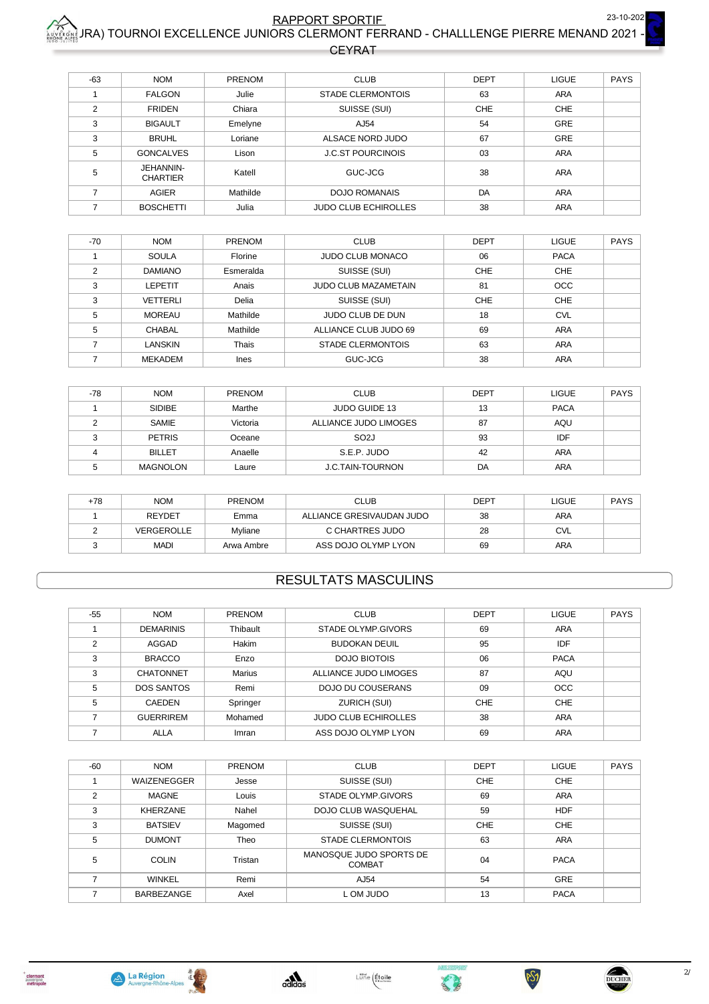### RAPPORT SPORTIE<br>IRA) TOURNOI EXCELLENCE JUNIORS CLERMONT FERRAND - CHALLLENGE PIERRE MENAND 2021 23-10-202

**CEYRAT** 

| $-63$ | <b>NOM</b>                   | PRENOM   | <b>CLUB</b>                 | <b>DEPT</b> | LIGUE      | <b>PAYS</b> |
|-------|------------------------------|----------|-----------------------------|-------------|------------|-------------|
|       | <b>FALGON</b>                | Julie    | <b>STADE CLERMONTOIS</b>    | 63          | <b>ARA</b> |             |
| 2     | <b>FRIDEN</b>                | Chiara   | SUISSE (SUI)                | <b>CHE</b>  | <b>CHE</b> |             |
| 3     | <b>BIGAULT</b>               | Emelyne  | AJ54                        | 54          | <b>GRE</b> |             |
| 3     | <b>BRUHL</b>                 | Loriane  | ALSACE NORD JUDO            | 67          | <b>GRE</b> |             |
| 5     | <b>GONCALVES</b>             | Lison    | <b>J.C.ST POURCINOIS</b>    | 03          | <b>ARA</b> |             |
| 5     | JEHANNIN-<br><b>CHARTIER</b> | Katell   | GUC-JCG                     | 38          | <b>ARA</b> |             |
|       | AGIER                        | Mathilde | <b>DOJO ROMANAIS</b>        | DA          | <b>ARA</b> |             |
|       | <b>BOSCHETTI</b>             | Julia    | <b>JUDO CLUB ECHIROLLES</b> | 38          | <b>ARA</b> |             |

| $-70$ | <b>NOM</b>     | <b>PRENOM</b> | <b>CLUB</b>                 | <b>DEPT</b> | <b>LIGUE</b> | <b>PAYS</b> |
|-------|----------------|---------------|-----------------------------|-------------|--------------|-------------|
|       | <b>SOULA</b>   | Florine       | JUDO CLUB MONACO            | 06          | <b>PACA</b>  |             |
| ◠     | <b>DAMIANO</b> | Esmeralda     | SUISSE (SUI)                | <b>CHE</b>  | <b>CHE</b>   |             |
| 3     | LEPETIT        | Anais         | <b>JUDO CLUB MAZAMETAIN</b> | 81          | <b>OCC</b>   |             |
| 3     | VETTERLI       | Delia         | SUISSE (SUI)                | <b>CHE</b>  | CHE          |             |
| 5     | <b>MOREAU</b>  | Mathilde      | JUDO CLUB DE DUN            | 18          | <b>CVL</b>   |             |
| 5     | CHABAL         | Mathilde      | ALLIANCE CLUB JUDO 69       | 69          | <b>ARA</b>   |             |
|       | LANSKIN        | Thais         | <b>STADE CLERMONTOIS</b>    | 63          | <b>ARA</b>   |             |
|       | <b>MEKADEM</b> | Ines          | GUC-JCG                     | 38          | <b>ARA</b>   |             |

| -78 | <b>NOM</b>    | PRENOM   | <b>CLUB</b>             | <b>DEPT</b> | <b>LIGUE</b> | PAYS |
|-----|---------------|----------|-------------------------|-------------|--------------|------|
|     | <b>SIDIBE</b> | Marthe   | JUDO GUIDE 13           | 13          | <b>PACA</b>  |      |
|     | SAMIE         | Victoria | ALLIANCE JUDO LIMOGES   | 87          | AQU          |      |
|     | <b>PETRIS</b> | Oceane   | SO <sub>2</sub> J       | 93          | IDF          |      |
|     | <b>BILLET</b> | Anaelle  | S.E.P. JUDO             | 42          | ARA          |      |
|     | MAGNOLON      | Laure    | <b>J.C.TAIN-TOURNON</b> | DA          | ARA          |      |

| +78 | <b>NOM</b>    | <b>PRENOM</b> | <b>CLUB</b>               | <b>DEPT</b> | <b>LIGUE</b> | PAYS |
|-----|---------------|---------------|---------------------------|-------------|--------------|------|
|     | <b>REYDET</b> | Emma          | ALLIANCE GRESIVAUDAN JUDO | 38          | <b>ARA</b>   |      |
|     | VERGEROLLE    | Myliane       | C CHARTRES JUDO           | 28          | <b>CVL</b>   |      |
|     | <b>MADI</b>   | Arwa Ambre    | ASS DOJO OLYMP LYON       | 69          | ARA          |      |

#### **RESULTATS MASCULINS**

| $-55$ | <b>NOM</b>        | <b>PRENOM</b> | <b>CLUB</b>                 | <b>DEPT</b> | <b>LIGUE</b> | <b>PAYS</b> |
|-------|-------------------|---------------|-----------------------------|-------------|--------------|-------------|
|       | <b>DEMARINIS</b>  | Thibault      | STADE OLYMP.GIVORS          | 69          | ARA          |             |
| 2     | AGGAD             | Hakim         | <b>BUDOKAN DEUIL</b>        | 95          | IDF          |             |
| 3     | <b>BRACCO</b>     | Enzo          | DOJO BIOTOIS                | 06          | <b>PACA</b>  |             |
| 3     | <b>CHATONNET</b>  | <b>Marius</b> | ALLIANCE JUDO LIMOGES       | 87          | AQU          |             |
| 5     | <b>DOS SANTOS</b> | Remi          | DOJO DU COUSERANS           | 09          | <b>OCC</b>   |             |
| 5     | <b>CAEDEN</b>     | Springer      | ZURICH (SUI)                | <b>CHE</b>  | <b>CHE</b>   |             |
|       | <b>GUERRIREM</b>  | Mohamed       | <b>JUDO CLUB ECHIROLLES</b> | 38          | <b>ARA</b>   |             |
|       | <b>ALLA</b>       | Imran         | ASS DOJO OLYMP LYON         | 69          | <b>ARA</b>   |             |

| $-60$ | <b>NOM</b>      | PRENOM  | <b>CLUB</b>                              | <b>DEPT</b> | <b>LIGUE</b> | <b>PAYS</b> |
|-------|-----------------|---------|------------------------------------------|-------------|--------------|-------------|
|       | WAIZENEGGER     | Jesse   | SUISSE (SUI)                             | <b>CHE</b>  | <b>CHE</b>   |             |
| 2     | <b>MAGNE</b>    | Louis   | STADE OLYMP.GIVORS                       | 69          | <b>ARA</b>   |             |
| 3     | <b>KHERZANE</b> | Nahel   | DOJO CLUB WASQUEHAL                      | 59          | <b>HDF</b>   |             |
| 3     | <b>BATSIEV</b>  | Magomed | SUISSE (SUI)                             | <b>CHE</b>  | <b>CHE</b>   |             |
| 5     | <b>DUMONT</b>   | Theo    | <b>STADE CLERMONTOIS</b>                 | 63          | <b>ARA</b>   |             |
| 5     | <b>COLIN</b>    | Tristan | MANOSQUE JUDO SPORTS DE<br><b>COMBAT</b> | 04          | <b>PACA</b>  |             |
|       | <b>WINKEL</b>   | Remi    | AJ54                                     | 54          | GRE          |             |
|       | BARBEZANGE      | Axel    | L OM JUDO                                | 13          | <b>PACA</b>  |             |
|       |                 |         |                                          |             |              |             |









C.

 $PSI$ 

DUCHER